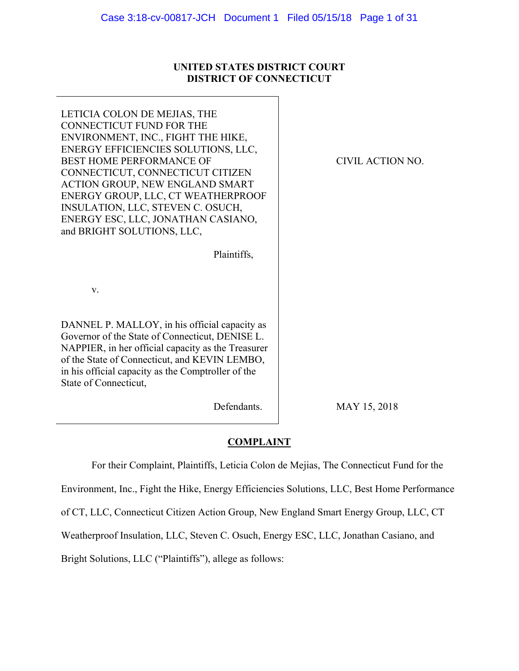## **UNITED STATES DISTRICT COURT DISTRICT OF CONNECTICUT**

٦

| LETICIA COLON DE MEJIAS, THE<br><b>CONNECTICUT FUND FOR THE</b><br>ENVIRONMENT, INC., FIGHT THE HIKE,<br>ENERGY EFFICIENCIES SOLUTIONS, LLC,<br><b>BEST HOME PERFORMANCE OF</b><br>CONNECTICUT, CONNECTICUT CITIZEN<br>ACTION GROUP, NEW ENGLAND SMART<br>ENERGY GROUP, LLC, CT WEATHERPROOF<br>INSULATION, LLC, STEVEN C. OSUCH,<br>ENERGY ESC, LLC, JONATHAN CASIANO,<br>and BRIGHT SOLUTIONS, LLC,<br>Plaintiffs, | CIVIL ACTION NO. |
|----------------------------------------------------------------------------------------------------------------------------------------------------------------------------------------------------------------------------------------------------------------------------------------------------------------------------------------------------------------------------------------------------------------------|------------------|
| $V_{\cdot}$                                                                                                                                                                                                                                                                                                                                                                                                          |                  |
| DANNEL P. MALLOY, in his official capacity as<br>Governor of the State of Connecticut, DENISE L.<br>NAPPIER, in her official capacity as the Treasurer<br>of the State of Connecticut, and KEVIN LEMBO,<br>in his official capacity as the Comptroller of the<br>State of Connecticut,                                                                                                                               |                  |
| Defendants.                                                                                                                                                                                                                                                                                                                                                                                                          | MAY 15, 2018     |

# **COMPLAINT**

For their Complaint, Plaintiffs, Leticia Colon de Mejias, The Connecticut Fund for the

Environment, Inc., Fight the Hike, Energy Efficiencies Solutions, LLC, Best Home Performance

of CT, LLC, Connecticut Citizen Action Group, New England Smart Energy Group, LLC, CT

Weatherproof Insulation, LLC, Steven C. Osuch, Energy ESC, LLC, Jonathan Casiano, and

Bright Solutions, LLC ("Plaintiffs"), allege as follows: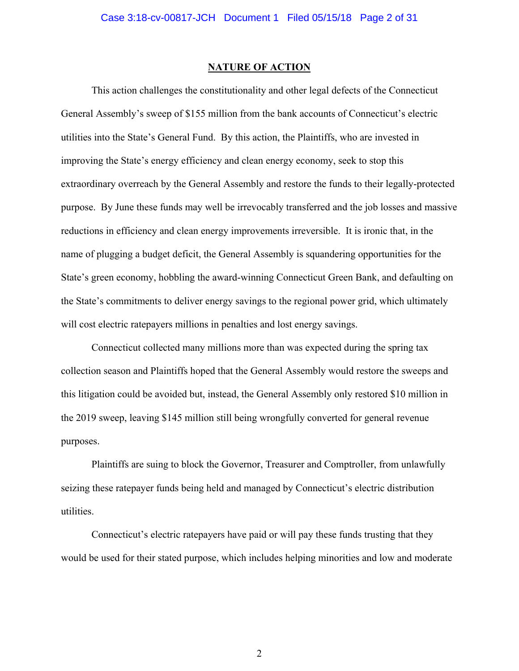### **NATURE OF ACTION**

This action challenges the constitutionality and other legal defects of the Connecticut General Assembly's sweep of \$155 million from the bank accounts of Connecticut's electric utilities into the State's General Fund. By this action, the Plaintiffs, who are invested in improving the State's energy efficiency and clean energy economy, seek to stop this extraordinary overreach by the General Assembly and restore the funds to their legally-protected purpose. By June these funds may well be irrevocably transferred and the job losses and massive reductions in efficiency and clean energy improvements irreversible. It is ironic that, in the name of plugging a budget deficit, the General Assembly is squandering opportunities for the State's green economy, hobbling the award-winning Connecticut Green Bank, and defaulting on the State's commitments to deliver energy savings to the regional power grid, which ultimately will cost electric rate payers millions in penalties and lost energy savings.

Connecticut collected many millions more than was expected during the spring tax collection season and Plaintiffs hoped that the General Assembly would restore the sweeps and this litigation could be avoided but, instead, the General Assembly only restored \$10 million in the 2019 sweep, leaving \$145 million still being wrongfully converted for general revenue purposes.

Plaintiffs are suing to block the Governor, Treasurer and Comptroller, from unlawfully seizing these ratepayer funds being held and managed by Connecticut's electric distribution utilities.

Connecticut's electric ratepayers have paid or will pay these funds trusting that they would be used for their stated purpose, which includes helping minorities and low and moderate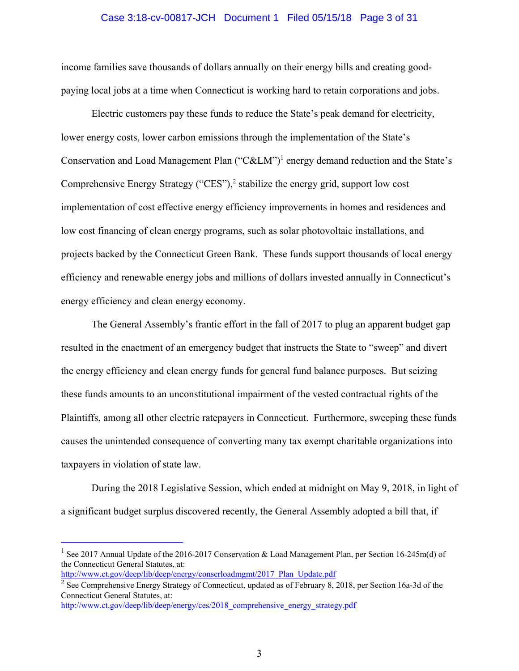#### Case 3:18-cv-00817-JCH Document 1 Filed 05/15/18 Page 3 of 31

income families save thousands of dollars annually on their energy bills and creating goodpaying local jobs at a time when Connecticut is working hard to retain corporations and jobs.

Electric customers pay these funds to reduce the State's peak demand for electricity, lower energy costs, lower carbon emissions through the implementation of the State's Conservation and Load Management Plan ("C&LM")<sup>1</sup> energy demand reduction and the State's Comprehensive Energy Strategy ("CES"),<sup>2</sup> stabilize the energy grid, support low cost implementation of cost effective energy efficiency improvements in homes and residences and low cost financing of clean energy programs, such as solar photovoltaic installations, and projects backed by the Connecticut Green Bank. These funds support thousands of local energy efficiency and renewable energy jobs and millions of dollars invested annually in Connecticut's energy efficiency and clean energy economy.

The General Assembly's frantic effort in the fall of 2017 to plug an apparent budget gap resulted in the enactment of an emergency budget that instructs the State to "sweep" and divert the energy efficiency and clean energy funds for general fund balance purposes. But seizing these funds amounts to an unconstitutional impairment of the vested contractual rights of the Plaintiffs, among all other electric ratepayers in Connecticut. Furthermore, sweeping these funds causes the unintended consequence of converting many tax exempt charitable organizations into taxpayers in violation of state law.

During the 2018 Legislative Session, which ended at midnight on May 9, 2018, in light of a significant budget surplus discovered recently, the General Assembly adopted a bill that, if

÷

<sup>&</sup>lt;sup>1</sup> See 2017 Annual Update of the 2016-2017 Conservation & Load Management Plan, per Section 16-245m(d) of the Connecticut General Statutes, at: http://www.ct.gov/deep/lib/deep/energy/conserloadmgmt/2017\_Plan\_Update.pdf

<sup>&</sup>lt;sup>2</sup> See Comprehensive Energy Strategy of Connecticut, updated as of February 8, 2018, per Section 16a-3d of the

Connecticut General Statutes, at: http://www.ct.gov/deep/lib/deep/energy/ces/2018\_comprehensive\_energy\_strategy.pdf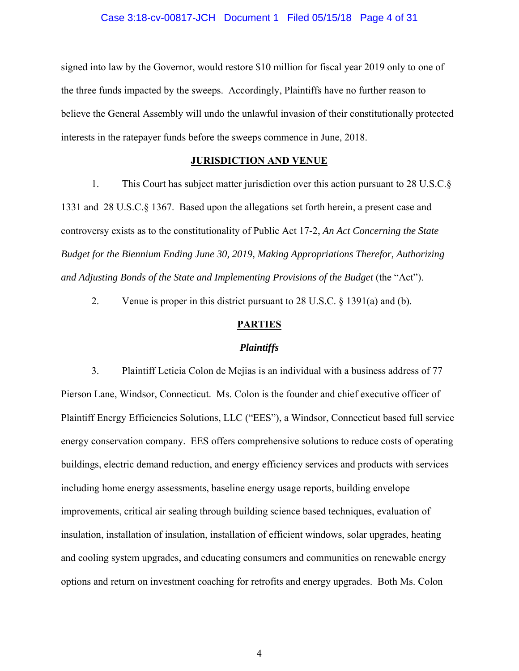### Case 3:18-cv-00817-JCH Document 1 Filed 05/15/18 Page 4 of 31

signed into law by the Governor, would restore \$10 million for fiscal year 2019 only to one of the three funds impacted by the sweeps. Accordingly, Plaintiffs have no further reason to believe the General Assembly will undo the unlawful invasion of their constitutionally protected interests in the ratepayer funds before the sweeps commence in June, 2018.

### **JURISDICTION AND VENUE**

1. This Court has subject matter jurisdiction over this action pursuant to 28 U.S.C.§ 1331 and 28 U.S.C.§ 1367. Based upon the allegations set forth herein, a present case and controversy exists as to the constitutionality of Public Act 17-2, *An Act Concerning the State Budget for the Biennium Ending June 30, 2019, Making Appropriations Therefor, Authorizing and Adjusting Bonds of the State and Implementing Provisions of the Budget* (the "Act").

2. Venue is proper in this district pursuant to 28 U.S.C. § 1391(a) and (b).

### **PARTIES**

#### *Plaintiffs*

3. Plaintiff Leticia Colon de Mejias is an individual with a business address of 77 Pierson Lane, Windsor, Connecticut. Ms. Colon is the founder and chief executive officer of Plaintiff Energy Efficiencies Solutions, LLC ("EES"), a Windsor, Connecticut based full service energy conservation company. EES offers comprehensive solutions to reduce costs of operating buildings, electric demand reduction, and energy efficiency services and products with services including home energy assessments, baseline energy usage reports, building envelope improvements, critical air sealing through building science based techniques, evaluation of insulation, installation of insulation, installation of efficient windows, solar upgrades, heating and cooling system upgrades, and educating consumers and communities on renewable energy options and return on investment coaching for retrofits and energy upgrades. Both Ms. Colon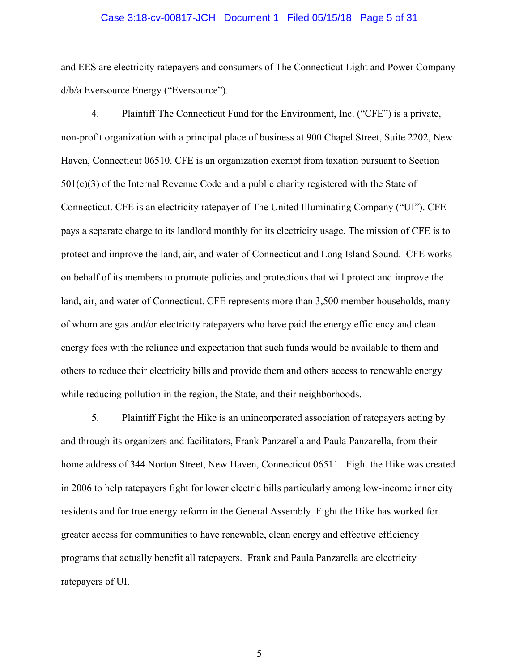#### Case 3:18-cv-00817-JCH Document 1 Filed 05/15/18 Page 5 of 31

and EES are electricity ratepayers and consumers of The Connecticut Light and Power Company d/b/a Eversource Energy ("Eversource").

4. Plaintiff The Connecticut Fund for the Environment, Inc. ("CFE") is a private, non-profit organization with a principal place of business at 900 Chapel Street, Suite 2202, New Haven, Connecticut 06510. CFE is an organization exempt from taxation pursuant to Section 501(c)(3) of the Internal Revenue Code and a public charity registered with the State of Connecticut. CFE is an electricity ratepayer of The United Illuminating Company ("UI"). CFE pays a separate charge to its landlord monthly for its electricity usage. The mission of CFE is to protect and improve the land, air, and water of Connecticut and Long Island Sound. CFE works on behalf of its members to promote policies and protections that will protect and improve the land, air, and water of Connecticut. CFE represents more than 3,500 member households, many of whom are gas and/or electricity ratepayers who have paid the energy efficiency and clean energy fees with the reliance and expectation that such funds would be available to them and others to reduce their electricity bills and provide them and others access to renewable energy while reducing pollution in the region, the State, and their neighborhoods.

5. Plaintiff Fight the Hike is an unincorporated association of ratepayers acting by and through its organizers and facilitators, Frank Panzarella and Paula Panzarella, from their home address of 344 Norton Street, New Haven, Connecticut 06511. Fight the Hike was created in 2006 to help ratepayers fight for lower electric bills particularly among low-income inner city residents and for true energy reform in the General Assembly. Fight the Hike has worked for greater access for communities to have renewable, clean energy and effective efficiency programs that actually benefit all ratepayers. Frank and Paula Panzarella are electricity ratepayers of UI.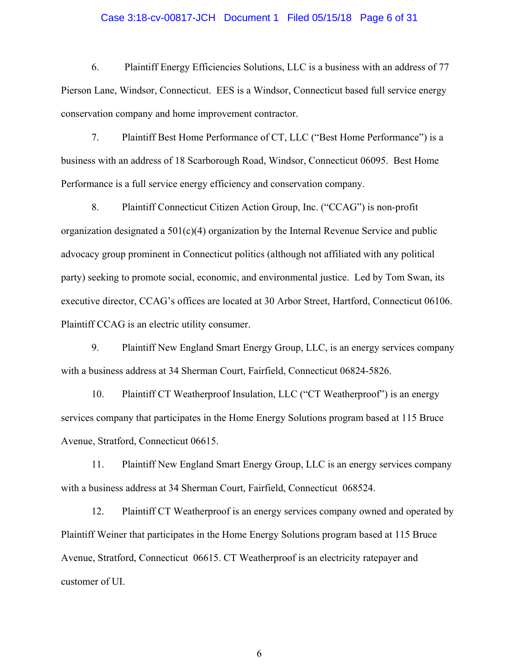### Case 3:18-cv-00817-JCH Document 1 Filed 05/15/18 Page 6 of 31

6. Plaintiff Energy Efficiencies Solutions, LLC is a business with an address of 77 Pierson Lane, Windsor, Connecticut. EES is a Windsor, Connecticut based full service energy conservation company and home improvement contractor.

7. Plaintiff Best Home Performance of CT, LLC ("Best Home Performance") is a business with an address of 18 Scarborough Road, Windsor, Connecticut 06095. Best Home Performance is a full service energy efficiency and conservation company.

8. Plaintiff Connecticut Citizen Action Group, Inc. ("CCAG") is non-profit organization designated a  $501(c)(4)$  organization by the Internal Revenue Service and public advocacy group prominent in Connecticut politics (although not affiliated with any political party) seeking to promote social, economic, and environmental justice. Led by Tom Swan, its executive director, CCAG's offices are located at 30 Arbor Street, Hartford, Connecticut 06106. Plaintiff CCAG is an electric utility consumer.

9. Plaintiff New England Smart Energy Group, LLC, is an energy services company with a business address at 34 Sherman Court, Fairfield, Connecticut 06824-5826.

10. Plaintiff CT Weatherproof Insulation, LLC ("CT Weatherproof") is an energy services company that participates in the Home Energy Solutions program based at 115 Bruce Avenue, Stratford, Connecticut 06615.

11. Plaintiff New England Smart Energy Group, LLC is an energy services company with a business address at 34 Sherman Court, Fairfield, Connecticut 068524.

12. Plaintiff CT Weatherproof is an energy services company owned and operated by Plaintiff Weiner that participates in the Home Energy Solutions program based at 115 Bruce Avenue, Stratford, Connecticut 06615. CT Weatherproof is an electricity ratepayer and customer of UI.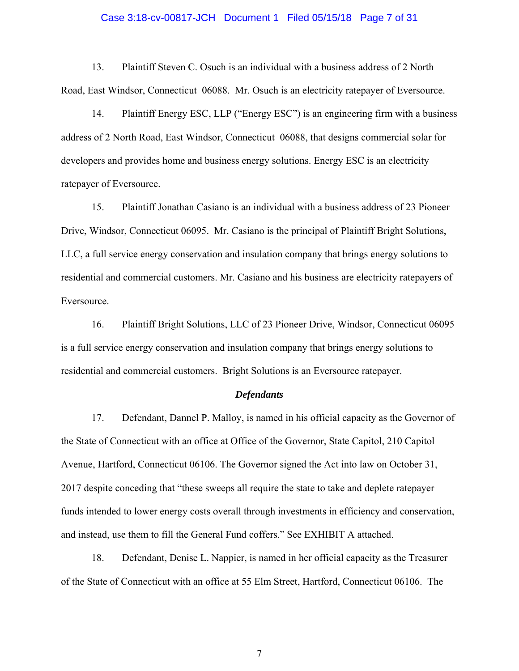### Case 3:18-cv-00817-JCH Document 1 Filed 05/15/18 Page 7 of 31

13. Plaintiff Steven C. Osuch is an individual with a business address of 2 North Road, East Windsor, Connecticut 06088. Mr. Osuch is an electricity ratepayer of Eversource.

14. Plaintiff Energy ESC, LLP ("Energy ESC") is an engineering firm with a business address of 2 North Road, East Windsor, Connecticut 06088, that designs commercial solar for developers and provides home and business energy solutions. Energy ESC is an electricity ratepayer of Eversource.

15. Plaintiff Jonathan Casiano is an individual with a business address of 23 Pioneer Drive, Windsor, Connecticut 06095. Mr. Casiano is the principal of Plaintiff Bright Solutions, LLC, a full service energy conservation and insulation company that brings energy solutions to residential and commercial customers. Mr. Casiano and his business are electricity ratepayers of Eversource.

16. Plaintiff Bright Solutions, LLC of 23 Pioneer Drive, Windsor, Connecticut 06095 is a full service energy conservation and insulation company that brings energy solutions to residential and commercial customers. Bright Solutions is an Eversource ratepayer.

### *Defendants*

17. Defendant, Dannel P. Malloy, is named in his official capacity as the Governor of the State of Connecticut with an office at Office of the Governor, State Capitol, 210 Capitol Avenue, Hartford, Connecticut 06106. The Governor signed the Act into law on October 31, 2017 despite conceding that "these sweeps all require the state to take and deplete ratepayer funds intended to lower energy costs overall through investments in efficiency and conservation, and instead, use them to fill the General Fund coffers." See EXHIBIT A attached.

18. Defendant, Denise L. Nappier, is named in her official capacity as the Treasurer of the State of Connecticut with an office at 55 Elm Street, Hartford, Connecticut 06106. The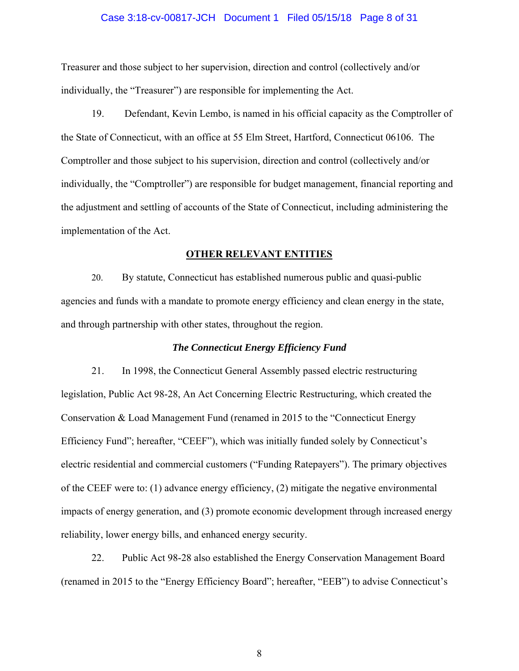### Case 3:18-cv-00817-JCH Document 1 Filed 05/15/18 Page 8 of 31

Treasurer and those subject to her supervision, direction and control (collectively and/or individually, the "Treasurer") are responsible for implementing the Act.

19. Defendant, Kevin Lembo, is named in his official capacity as the Comptroller of the State of Connecticut, with an office at 55 Elm Street, Hartford, Connecticut 06106. The Comptroller and those subject to his supervision, direction and control (collectively and/or individually, the "Comptroller") are responsible for budget management, financial reporting and the adjustment and settling of accounts of the State of Connecticut, including administering the implementation of the Act.

#### **OTHER RELEVANT ENTITIES**

20. By statute, Connecticut has established numerous public and quasi-public agencies and funds with a mandate to promote energy efficiency and clean energy in the state, and through partnership with other states, throughout the region.

### *The Connecticut Energy Efficiency Fund*

21. In 1998, the Connecticut General Assembly passed electric restructuring legislation, Public Act 98-28, An Act Concerning Electric Restructuring, which created the Conservation & Load Management Fund (renamed in 2015 to the "Connecticut Energy Efficiency Fund"; hereafter, "CEEF"), which was initially funded solely by Connecticut's electric residential and commercial customers ("Funding Ratepayers"). The primary objectives of the CEEF were to: (1) advance energy efficiency, (2) mitigate the negative environmental impacts of energy generation, and (3) promote economic development through increased energy reliability, lower energy bills, and enhanced energy security.

22. Public Act 98-28 also established the Energy Conservation Management Board (renamed in 2015 to the "Energy Efficiency Board"; hereafter, "EEB") to advise Connecticut's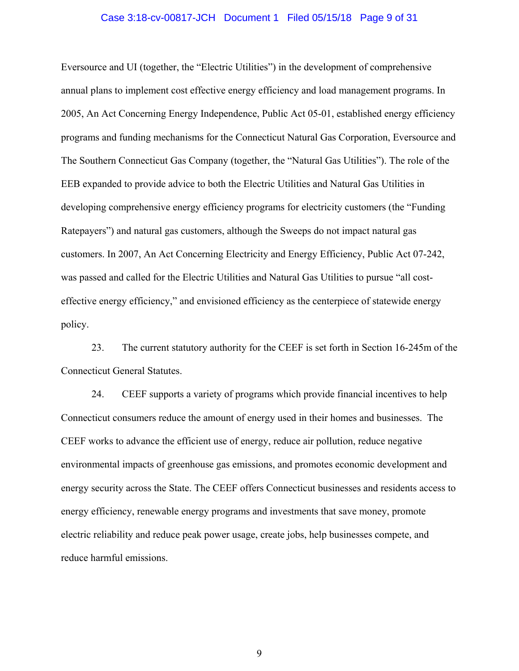#### Case 3:18-cv-00817-JCH Document 1 Filed 05/15/18 Page 9 of 31

Eversource and UI (together, the "Electric Utilities") in the development of comprehensive annual plans to implement cost effective energy efficiency and load management programs. In 2005, An Act Concerning Energy Independence, Public Act 05-01, established energy efficiency programs and funding mechanisms for the Connecticut Natural Gas Corporation, Eversource and The Southern Connecticut Gas Company (together, the "Natural Gas Utilities"). The role of the EEB expanded to provide advice to both the Electric Utilities and Natural Gas Utilities in developing comprehensive energy efficiency programs for electricity customers (the "Funding Ratepayers") and natural gas customers, although the Sweeps do not impact natural gas customers. In 2007, An Act Concerning Electricity and Energy Efficiency, Public Act 07-242, was passed and called for the Electric Utilities and Natural Gas Utilities to pursue "all costeffective energy efficiency," and envisioned efficiency as the centerpiece of statewide energy policy.

23. The current statutory authority for the CEEF is set forth in Section 16-245m of the Connecticut General Statutes.

24. CEEF supports a variety of programs which provide financial incentives to help Connecticut consumers reduce the amount of energy used in their homes and businesses. The CEEF works to advance the efficient use of energy, reduce air pollution, reduce negative environmental impacts of greenhouse gas emissions, and promotes economic development and energy security across the State. The CEEF offers Connecticut businesses and residents access to energy efficiency, renewable energy programs and investments that save money, promote electric reliability and reduce peak power usage, create jobs, help businesses compete, and reduce harmful emissions.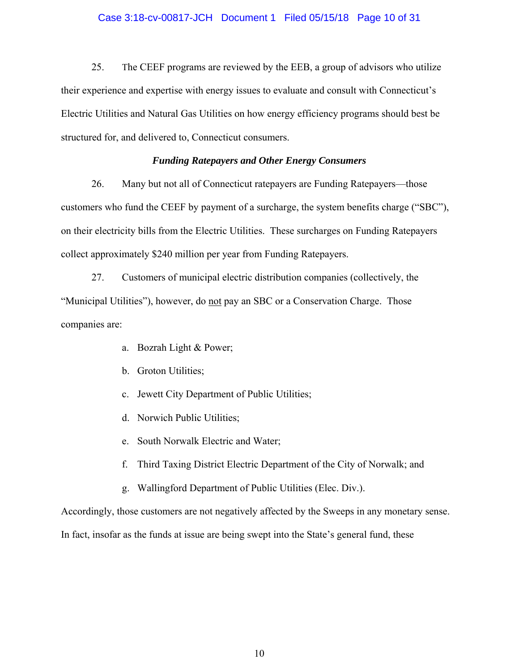### Case 3:18-cv-00817-JCH Document 1 Filed 05/15/18 Page 10 of 31

25. The CEEF programs are reviewed by the EEB, a group of advisors who utilize their experience and expertise with energy issues to evaluate and consult with Connecticut's Electric Utilities and Natural Gas Utilities on how energy efficiency programs should best be structured for, and delivered to, Connecticut consumers.

### *Funding Ratepayers and Other Energy Consumers*

26. Many but not all of Connecticut ratepayers are Funding Ratepayers—those customers who fund the CEEF by payment of a surcharge, the system benefits charge ("SBC"), on their electricity bills from the Electric Utilities. These surcharges on Funding Ratepayers collect approximately \$240 million per year from Funding Ratepayers.

27. Customers of municipal electric distribution companies (collectively, the "Municipal Utilities"), however, do not pay an SBC or a Conservation Charge. Those companies are:

- a. Bozrah Light & Power;
- b. Groton Utilities;
- c. Jewett City Department of Public Utilities;
- d. Norwich Public Utilities;
- e. South Norwalk Electric and Water;
- f. Third Taxing District Electric Department of the City of Norwalk; and
- g. Wallingford Department of Public Utilities (Elec. Div.).

Accordingly, those customers are not negatively affected by the Sweeps in any monetary sense.

In fact, insofar as the funds at issue are being swept into the State's general fund, these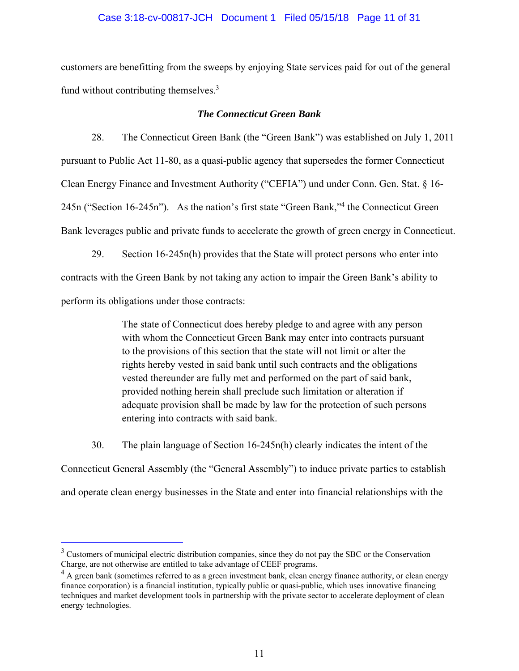### Case 3:18-cv-00817-JCH Document 1 Filed 05/15/18 Page 11 of 31

customers are benefitting from the sweeps by enjoying State services paid for out of the general fund without contributing themselves.<sup>3</sup>

### *The Connecticut Green Bank*

28. The Connecticut Green Bank (the "Green Bank") was established on July 1, 2011 pursuant to Public Act 11-80, as a quasi-public agency that supersedes the former Connecticut Clean Energy Finance and Investment Authority ("CEFIA") und under Conn. Gen. Stat. § 16- 245n ("Section 16-245n"). As the nation's first state "Green Bank,"<sup>4</sup> the Connecticut Green Bank leverages public and private funds to accelerate the growth of green energy in Connecticut.

29. Section 16-245n(h) provides that the State will protect persons who enter into contracts with the Green Bank by not taking any action to impair the Green Bank's ability to perform its obligations under those contracts:

> The state of Connecticut does hereby pledge to and agree with any person with whom the Connecticut Green Bank may enter into contracts pursuant to the provisions of this section that the state will not limit or alter the rights hereby vested in said bank until such contracts and the obligations vested thereunder are fully met and performed on the part of said bank, provided nothing herein shall preclude such limitation or alteration if adequate provision shall be made by law for the protection of such persons entering into contracts with said bank.

30. The plain language of Section 16-245n(h) clearly indicates the intent of the

Connecticut General Assembly (the "General Assembly") to induce private parties to establish and operate clean energy businesses in the State and enter into financial relationships with the

÷

<sup>&</sup>lt;sup>3</sup> Customers of municipal electric distribution companies, since they do not pay the SBC or the Conservation Charge, are not otherwise are entitled to take advantage of CEEF programs.

 $4$  A green bank (sometimes referred to as a green investment bank, clean energy finance authority, or clean energy finance corporation) is a financial institution, typically public or quasi-public, which uses innovative financing techniques and market development tools in partnership with the private sector to accelerate deployment of clean energy technologies.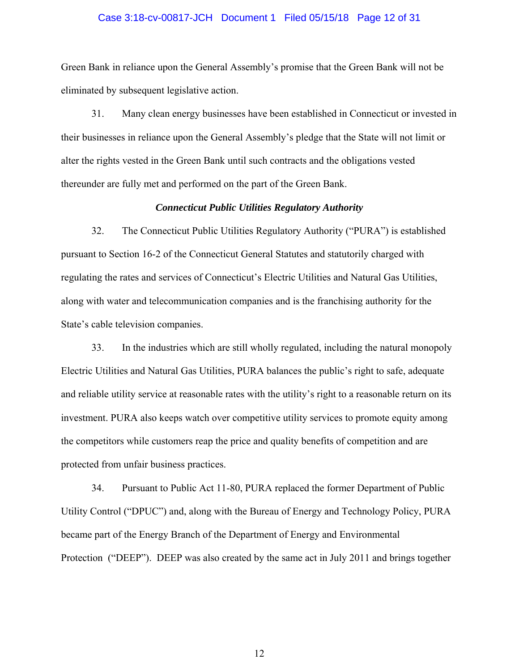## Case 3:18-cv-00817-JCH Document 1 Filed 05/15/18 Page 12 of 31

Green Bank in reliance upon the General Assembly's promise that the Green Bank will not be eliminated by subsequent legislative action.

31. Many clean energy businesses have been established in Connecticut or invested in their businesses in reliance upon the General Assembly's pledge that the State will not limit or alter the rights vested in the Green Bank until such contracts and the obligations vested thereunder are fully met and performed on the part of the Green Bank.

### *Connecticut Public Utilities Regulatory Authority*

32. The Connecticut Public Utilities Regulatory Authority ("PURA") is established pursuant to Section 16-2 of the Connecticut General Statutes and statutorily charged with regulating the rates and services of Connecticut's Electric Utilities and Natural Gas Utilities, along with water and telecommunication companies and is the franchising authority for the State's cable television companies.

33. In the industries which are still wholly regulated, including the natural monopoly Electric Utilities and Natural Gas Utilities, PURA balances the public's right to safe, adequate and reliable utility service at reasonable rates with the utility's right to a reasonable return on its investment. PURA also keeps watch over competitive utility services to promote equity among the competitors while customers reap the price and quality benefits of competition and are protected from unfair business practices.

34. Pursuant to Public Act 11-80, PURA replaced the former Department of Public Utility Control ("DPUC") and, along with the Bureau of Energy and Technology Policy, PURA became part of the Energy Branch of the Department of Energy and Environmental Protection ("DEEP"). DEEP was also created by the same act in July 2011 and brings together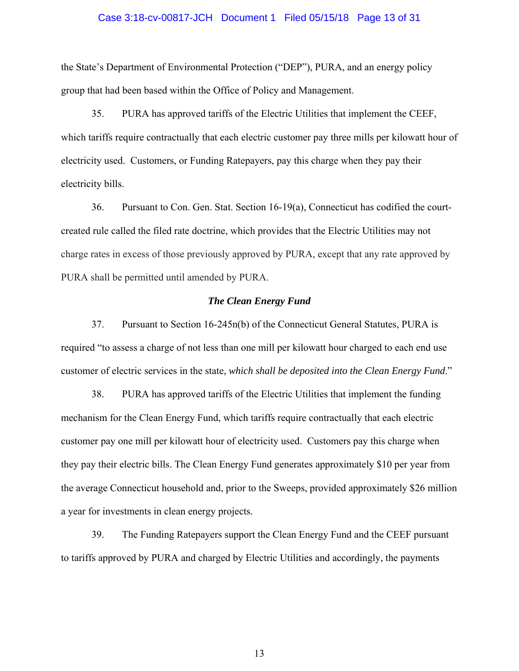## Case 3:18-cv-00817-JCH Document 1 Filed 05/15/18 Page 13 of 31

the State's Department of Environmental Protection ("DEP"), PURA, and an energy policy group that had been based within the Office of Policy and Management.

35. PURA has approved tariffs of the Electric Utilities that implement the CEEF, which tariffs require contractually that each electric customer pay three mills per kilowatt hour of electricity used. Customers, or Funding Ratepayers, pay this charge when they pay their electricity bills.

36. Pursuant to Con. Gen. Stat. Section 16-19(a), Connecticut has codified the courtcreated rule called the filed rate doctrine, which provides that the Electric Utilities may not charge rates in excess of those previously approved by PURA, except that any rate approved by PURA shall be permitted until amended by PURA.

### *The Clean Energy Fund*

37. Pursuant to Section 16-245n(b) of the Connecticut General Statutes, PURA is required "to assess a charge of not less than one mill per kilowatt hour charged to each end use customer of electric services in the state, *which shall be deposited into the Clean Energy Fund*."

38. PURA has approved tariffs of the Electric Utilities that implement the funding mechanism for the Clean Energy Fund, which tariffs require contractually that each electric customer pay one mill per kilowatt hour of electricity used. Customers pay this charge when they pay their electric bills. The Clean Energy Fund generates approximately \$10 per year from the average Connecticut household and, prior to the Sweeps, provided approximately \$26 million a year for investments in clean energy projects.

39. The Funding Ratepayers support the Clean Energy Fund and the CEEF pursuant to tariffs approved by PURA and charged by Electric Utilities and accordingly, the payments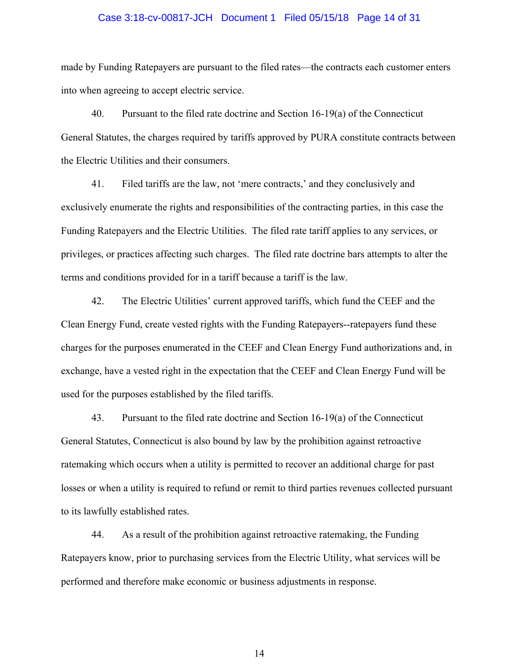## Case 3:18-cv-00817-JCH Document 1 Filed 05/15/18 Page 14 of 31

made by Funding Ratepayers are pursuant to the filed rates—the contracts each customer enters into when agreeing to accept electric service.

40. Pursuant to the filed rate doctrine and Section 16-19(a) of the Connecticut General Statutes, the charges required by tariffs approved by PURA constitute contracts between the Electric Utilities and their consumers.

41. Filed tariffs are the law, not 'mere contracts,' and they conclusively and exclusively enumerate the rights and responsibilities of the contracting parties, in this case the Funding Ratepayers and the Electric Utilities. The filed rate tariff applies to any services, or privileges, or practices affecting such charges. The filed rate doctrine bars attempts to alter the terms and conditions provided for in a tariff because a tariff is the law.

42. The Electric Utilities' current approved tariffs, which fund the CEEF and the Clean Energy Fund, create vested rights with the Funding Ratepayers--ratepayers fund these charges for the purposes enumerated in the CEEF and Clean Energy Fund authorizations and, in exchange, have a vested right in the expectation that the CEEF and Clean Energy Fund will be used for the purposes established by the filed tariffs.

43. Pursuant to the filed rate doctrine and Section 16-19(a) of the Connecticut General Statutes, Connecticut is also bound by law by the prohibition against retroactive ratemaking which occurs when a utility is permitted to recover an additional charge for past losses or when a utility is required to refund or remit to third parties revenues collected pursuant to its lawfully established rates.

44. As a result of the prohibition against retroactive ratemaking, the Funding Ratepayers know, prior to purchasing services from the Electric Utility, what services will be performed and therefore make economic or business adjustments in response.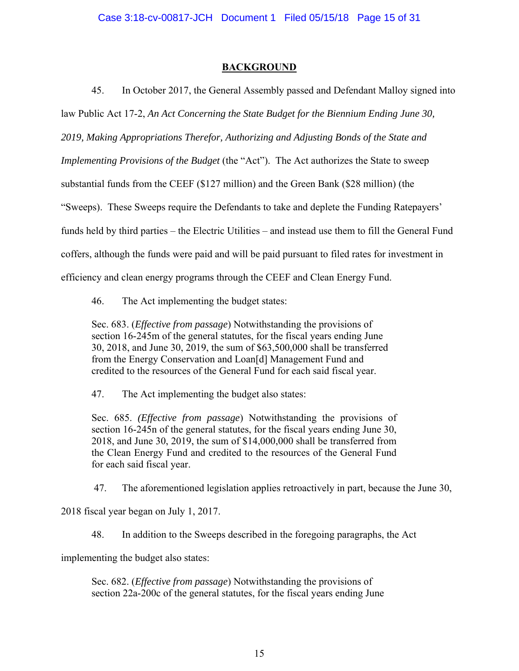## **BACKGROUND**

45. In October 2017, the General Assembly passed and Defendant Malloy signed into

law Public Act 17-2, *An Act Concerning the State Budget for the Biennium Ending June 30,* 

*2019, Making Appropriations Therefor, Authorizing and Adjusting Bonds of the State and* 

*Implementing Provisions of the Budget* (the "Act"). The Act authorizes the State to sweep

substantial funds from the CEEF (\$127 million) and the Green Bank (\$28 million) (the

"Sweeps). These Sweeps require the Defendants to take and deplete the Funding Ratepayers'

funds held by third parties – the Electric Utilities – and instead use them to fill the General Fund

coffers, although the funds were paid and will be paid pursuant to filed rates for investment in

efficiency and clean energy programs through the CEEF and Clean Energy Fund.

46. The Act implementing the budget states:

Sec. 683. (*Effective from passage*) Notwithstanding the provisions of section 16-245m of the general statutes, for the fiscal years ending June 30, 2018, and June 30, 2019, the sum of \$63,500,000 shall be transferred from the Energy Conservation and Loan[d] Management Fund and credited to the resources of the General Fund for each said fiscal year.

47. The Act implementing the budget also states:

Sec. 685. *(Effective from passage*) Notwithstanding the provisions of section 16-245n of the general statutes, for the fiscal years ending June 30, 2018, and June 30, 2019, the sum of \$14,000,000 shall be transferred from the Clean Energy Fund and credited to the resources of the General Fund for each said fiscal year.

47. The aforementioned legislation applies retroactively in part, because the June 30,

2018 fiscal year began on July 1, 2017.

48. In addition to the Sweeps described in the foregoing paragraphs, the Act

implementing the budget also states:

Sec. 682. (*Effective from passage*) Notwithstanding the provisions of section 22a-200c of the general statutes, for the fiscal years ending June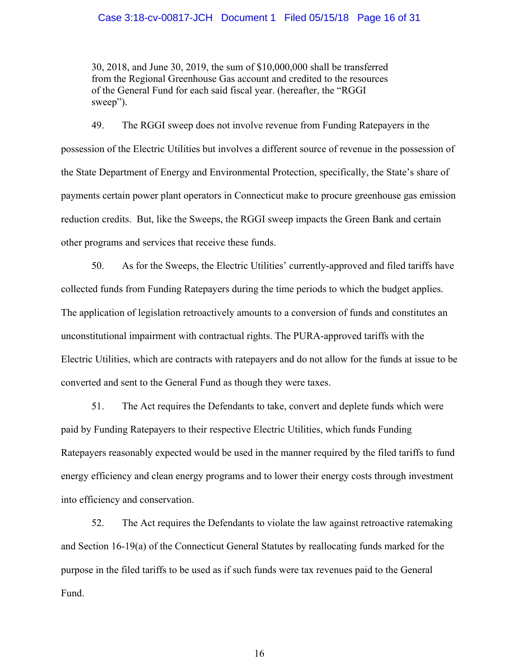## Case 3:18-cv-00817-JCH Document 1 Filed 05/15/18 Page 16 of 31

30, 2018, and June 30, 2019, the sum of \$10,000,000 shall be transferred from the Regional Greenhouse Gas account and credited to the resources of the General Fund for each said fiscal year. (hereafter, the "RGGI sweep").

49. The RGGI sweep does not involve revenue from Funding Ratepayers in the possession of the Electric Utilities but involves a different source of revenue in the possession of the State Department of Energy and Environmental Protection, specifically, the State's share of payments certain power plant operators in Connecticut make to procure greenhouse gas emission reduction credits. But, like the Sweeps, the RGGI sweep impacts the Green Bank and certain other programs and services that receive these funds.

50. As for the Sweeps, the Electric Utilities' currently-approved and filed tariffs have collected funds from Funding Ratepayers during the time periods to which the budget applies. The application of legislation retroactively amounts to a conversion of funds and constitutes an unconstitutional impairment with contractual rights. The PURA-approved tariffs with the Electric Utilities, which are contracts with ratepayers and do not allow for the funds at issue to be converted and sent to the General Fund as though they were taxes.

51. The Act requires the Defendants to take, convert and deplete funds which were paid by Funding Ratepayers to their respective Electric Utilities, which funds Funding Ratepayers reasonably expected would be used in the manner required by the filed tariffs to fund energy efficiency and clean energy programs and to lower their energy costs through investment into efficiency and conservation.

52. The Act requires the Defendants to violate the law against retroactive ratemaking and Section 16-19(a) of the Connecticut General Statutes by reallocating funds marked for the purpose in the filed tariffs to be used as if such funds were tax revenues paid to the General Fund.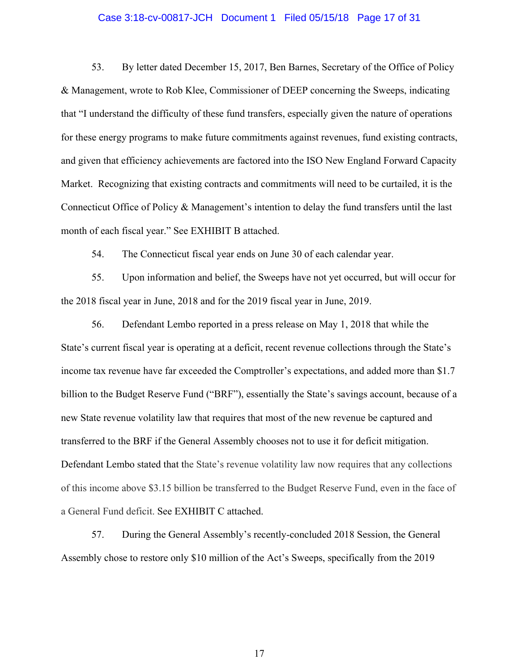### Case 3:18-cv-00817-JCH Document 1 Filed 05/15/18 Page 17 of 31

53. By letter dated December 15, 2017, Ben Barnes, Secretary of the Office of Policy & Management, wrote to Rob Klee, Commissioner of DEEP concerning the Sweeps, indicating that "I understand the difficulty of these fund transfers, especially given the nature of operations for these energy programs to make future commitments against revenues, fund existing contracts, and given that efficiency achievements are factored into the ISO New England Forward Capacity Market. Recognizing that existing contracts and commitments will need to be curtailed, it is the Connecticut Office of Policy & Management's intention to delay the fund transfers until the last month of each fiscal year." See EXHIBIT B attached.

54. The Connecticut fiscal year ends on June 30 of each calendar year.

55. Upon information and belief, the Sweeps have not yet occurred, but will occur for the 2018 fiscal year in June, 2018 and for the 2019 fiscal year in June, 2019.

56. Defendant Lembo reported in a press release on May 1, 2018 that while the State's current fiscal year is operating at a deficit, recent revenue collections through the State's income tax revenue have far exceeded the Comptroller's expectations, and added more than \$1.7 billion to the Budget Reserve Fund ("BRF"), essentially the State's savings account, because of a new State revenue volatility law that requires that most of the new revenue be captured and transferred to the BRF if the General Assembly chooses not to use it for deficit mitigation. Defendant Lembo stated that the State's revenue volatility law now requires that any collections of this income above \$3.15 billion be transferred to the Budget Reserve Fund, even in the face of a General Fund deficit. See EXHIBIT C attached.

57. During the General Assembly's recently-concluded 2018 Session, the General Assembly chose to restore only \$10 million of the Act's Sweeps, specifically from the 2019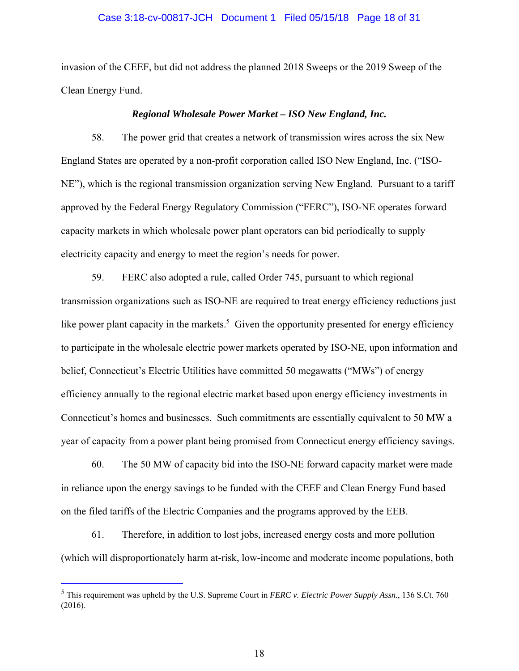### Case 3:18-cv-00817-JCH Document 1 Filed 05/15/18 Page 18 of 31

invasion of the CEEF, but did not address the planned 2018 Sweeps or the 2019 Sweep of the Clean Energy Fund.

#### *Regional Wholesale Power Market – ISO New England, Inc.*

58. The power grid that creates a network of transmission wires across the six New England States are operated by a non-profit corporation called ISO New England, Inc. ("ISO-NE"), which is the regional transmission organization serving New England. Pursuant to a tariff approved by the Federal Energy Regulatory Commission ("FERC"), ISO-NE operates forward capacity markets in which wholesale power plant operators can bid periodically to supply electricity capacity and energy to meet the region's needs for power.

59. FERC also adopted a rule, called Order 745, pursuant to which regional transmission organizations such as ISO-NE are required to treat energy efficiency reductions just like power plant capacity in the markets.<sup>5</sup> Given the opportunity presented for energy efficiency to participate in the wholesale electric power markets operated by ISO-NE, upon information and belief, Connecticut's Electric Utilities have committed 50 megawatts ("MWs") of energy efficiency annually to the regional electric market based upon energy efficiency investments in Connecticut's homes and businesses. Such commitments are essentially equivalent to 50 MW a year of capacity from a power plant being promised from Connecticut energy efficiency savings.

60. The 50 MW of capacity bid into the ISO-NE forward capacity market were made in reliance upon the energy savings to be funded with the CEEF and Clean Energy Fund based on the filed tariffs of the Electric Companies and the programs approved by the EEB.

61. Therefore, in addition to lost jobs, increased energy costs and more pollution (which will disproportionately harm at-risk, low-income and moderate income populations, both

÷

<sup>5</sup> This requirement was upheld by the U.S. Supreme Court in *FERC v. Electric Power Supply Assn.*, 136 S.Ct. 760 (2016).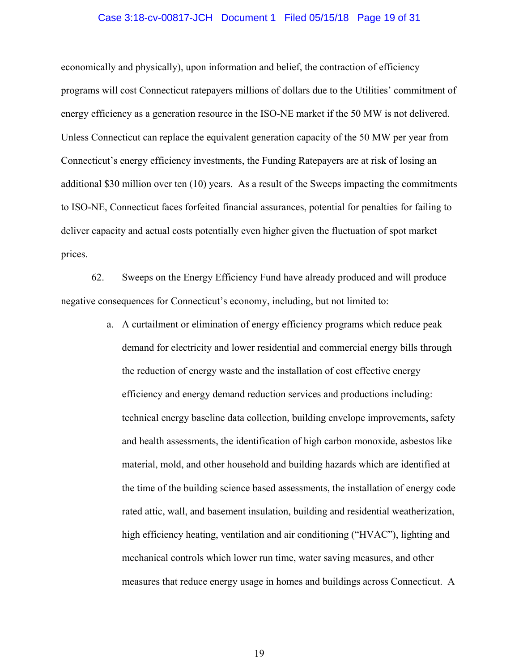### Case 3:18-cv-00817-JCH Document 1 Filed 05/15/18 Page 19 of 31

economically and physically), upon information and belief, the contraction of efficiency programs will cost Connecticut ratepayers millions of dollars due to the Utilities' commitment of energy efficiency as a generation resource in the ISO-NE market if the 50 MW is not delivered. Unless Connecticut can replace the equivalent generation capacity of the 50 MW per year from Connecticut's energy efficiency investments, the Funding Ratepayers are at risk of losing an additional \$30 million over ten (10) years. As a result of the Sweeps impacting the commitments to ISO-NE, Connecticut faces forfeited financial assurances, potential for penalties for failing to deliver capacity and actual costs potentially even higher given the fluctuation of spot market prices.

62. Sweeps on the Energy Efficiency Fund have already produced and will produce negative consequences for Connecticut's economy, including, but not limited to:

> a. A curtailment or elimination of energy efficiency programs which reduce peak demand for electricity and lower residential and commercial energy bills through the reduction of energy waste and the installation of cost effective energy efficiency and energy demand reduction services and productions including: technical energy baseline data collection, building envelope improvements, safety and health assessments, the identification of high carbon monoxide, asbestos like material, mold, and other household and building hazards which are identified at the time of the building science based assessments, the installation of energy code rated attic, wall, and basement insulation, building and residential weatherization, high efficiency heating, ventilation and air conditioning ("HVAC"), lighting and mechanical controls which lower run time, water saving measures, and other measures that reduce energy usage in homes and buildings across Connecticut. A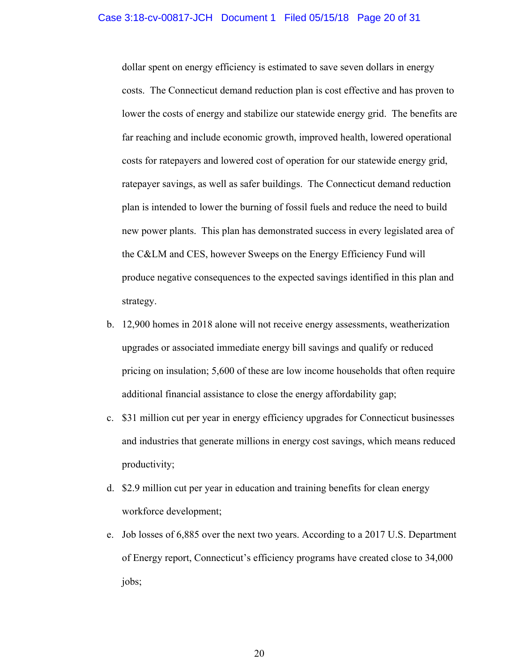### Case 3:18-cv-00817-JCH Document 1 Filed 05/15/18 Page 20 of 31

dollar spent on energy efficiency is estimated to save seven dollars in energy costs. The Connecticut demand reduction plan is cost effective and has proven to lower the costs of energy and stabilize our statewide energy grid. The benefits are far reaching and include economic growth, improved health, lowered operational costs for ratepayers and lowered cost of operation for our statewide energy grid, ratepayer savings, as well as safer buildings. The Connecticut demand reduction plan is intended to lower the burning of fossil fuels and reduce the need to build new power plants. This plan has demonstrated success in every legislated area of the C&LM and CES, however Sweeps on the Energy Efficiency Fund will produce negative consequences to the expected savings identified in this plan and strategy.

- b. 12,900 homes in 2018 alone will not receive energy assessments, weatherization upgrades or associated immediate energy bill savings and qualify or reduced pricing on insulation; 5,600 of these are low income households that often require additional financial assistance to close the energy affordability gap;
- c. \$31 million cut per year in energy efficiency upgrades for Connecticut businesses and industries that generate millions in energy cost savings, which means reduced productivity;
- d. \$2.9 million cut per year in education and training benefits for clean energy workforce development;
- e. Job losses of 6,885 over the next two years. According to a 2017 U.S. Department of Energy report, Connecticut's efficiency programs have created close to 34,000 jobs;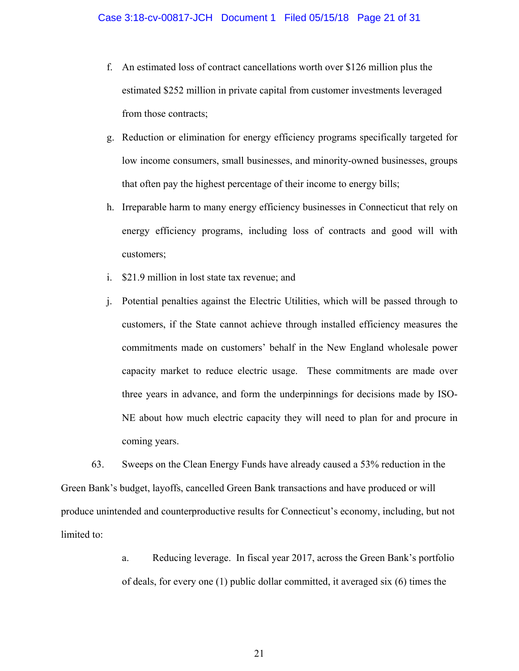- f. An estimated loss of contract cancellations worth over \$126 million plus the estimated \$252 million in private capital from customer investments leveraged from those contracts;
- g. Reduction or elimination for energy efficiency programs specifically targeted for low income consumers, small businesses, and minority-owned businesses, groups that often pay the highest percentage of their income to energy bills;
- h. Irreparable harm to many energy efficiency businesses in Connecticut that rely on energy efficiency programs, including loss of contracts and good will with customers;
- i. \$21.9 million in lost state tax revenue; and
- j. Potential penalties against the Electric Utilities, which will be passed through to customers, if the State cannot achieve through installed efficiency measures the commitments made on customers' behalf in the New England wholesale power capacity market to reduce electric usage. These commitments are made over three years in advance, and form the underpinnings for decisions made by ISO-NE about how much electric capacity they will need to plan for and procure in coming years.

63. Sweeps on the Clean Energy Funds have already caused a 53% reduction in the Green Bank's budget, layoffs, cancelled Green Bank transactions and have produced or will produce unintended and counterproductive results for Connecticut's economy, including, but not limited to:

> a. Reducing leverage. In fiscal year 2017, across the Green Bank's portfolio of deals, for every one (1) public dollar committed, it averaged six (6) times the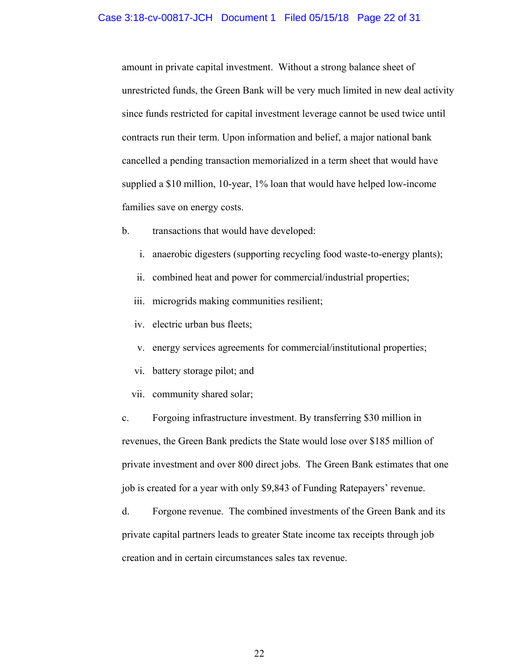### Case 3:18-cv-00817-JCH Document 1 Filed 05/15/18 Page 22 of 31

amount in private capital investment. Without a strong balance sheet of unrestricted funds, the Green Bank will be very much limited in new deal activity since funds restricted for capital investment leverage cannot be used twice until contracts run their term. Upon information and belief, a major national bank cancelled a pending transaction memorialized in a term sheet that would have supplied a \$10 million, 10-year, 1% loan that would have helped low-income families save on energy costs.

- b. transactions that would have developed:
	- i. anaerobic digesters (supporting recycling food waste-to-energy plants);
	- ii. combined heat and power for commercial/industrial properties;
	- iii. microgrids making communities resilient;
	- iv. electric urban bus fleets;
	- v. energy services agreements for commercial/institutional properties;
	- vi. battery storage pilot; and
	- vii. community shared solar;

c. Forgoing infrastructure investment. By transferring \$30 million in revenues, the Green Bank predicts the State would lose over \$185 million of private investment and over 800 direct jobs. The Green Bank estimates that one job is created for a year with only \$9,843 of Funding Ratepayers' revenue.

d. Forgone revenue. The combined investments of the Green Bank and its private capital partners leads to greater State income tax receipts through job creation and in certain circumstances sales tax revenue.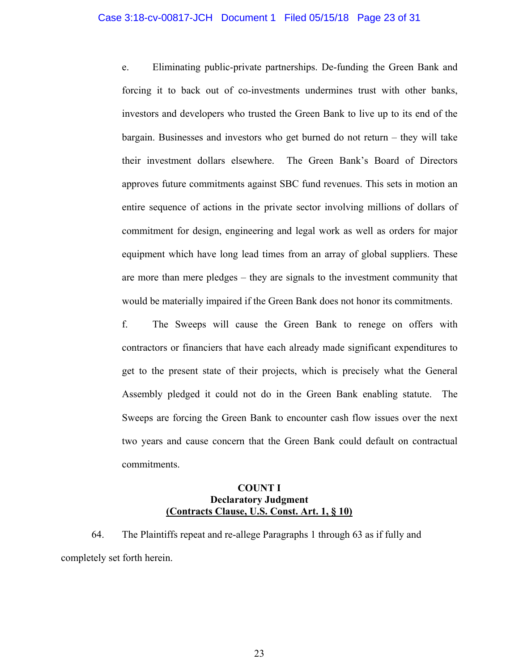### Case 3:18-cv-00817-JCH Document 1 Filed 05/15/18 Page 23 of 31

e. Eliminating public-private partnerships. De-funding the Green Bank and forcing it to back out of co-investments undermines trust with other banks, investors and developers who trusted the Green Bank to live up to its end of the bargain. Businesses and investors who get burned do not return – they will take their investment dollars elsewhere. The Green Bank's Board of Directors approves future commitments against SBC fund revenues. This sets in motion an entire sequence of actions in the private sector involving millions of dollars of commitment for design, engineering and legal work as well as orders for major equipment which have long lead times from an array of global suppliers. These are more than mere pledges – they are signals to the investment community that would be materially impaired if the Green Bank does not honor its commitments.

f. The Sweeps will cause the Green Bank to renege on offers with contractors or financiers that have each already made significant expenditures to get to the present state of their projects, which is precisely what the General Assembly pledged it could not do in the Green Bank enabling statute. The Sweeps are forcing the Green Bank to encounter cash flow issues over the next two years and cause concern that the Green Bank could default on contractual commitments.

## **COUNT I Declaratory Judgment (Contracts Clause, U.S. Const. Art. 1, § 10)**

64. The Plaintiffs repeat and re-allege Paragraphs 1 through 63 as if fully and completely set forth herein.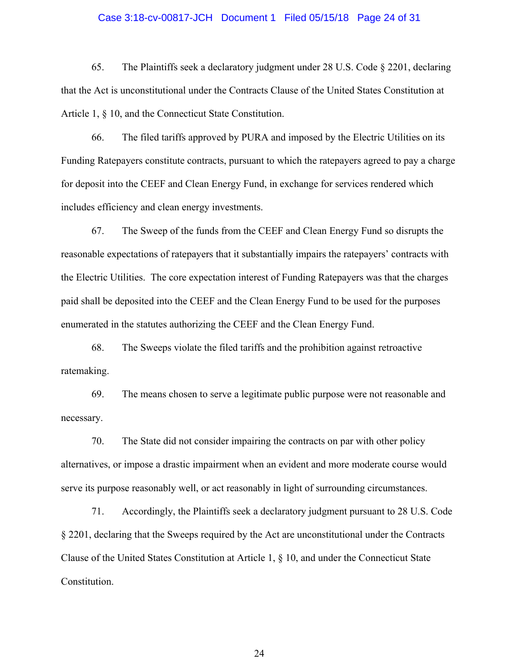### Case 3:18-cv-00817-JCH Document 1 Filed 05/15/18 Page 24 of 31

65. The Plaintiffs seek a declaratory judgment under 28 U.S. Code § 2201, declaring that the Act is unconstitutional under the Contracts Clause of the United States Constitution at Article 1, § 10, and the Connecticut State Constitution.

66. The filed tariffs approved by PURA and imposed by the Electric Utilities on its Funding Ratepayers constitute contracts, pursuant to which the ratepayers agreed to pay a charge for deposit into the CEEF and Clean Energy Fund, in exchange for services rendered which includes efficiency and clean energy investments.

67. The Sweep of the funds from the CEEF and Clean Energy Fund so disrupts the reasonable expectations of ratepayers that it substantially impairs the ratepayers' contracts with the Electric Utilities. The core expectation interest of Funding Ratepayers was that the charges paid shall be deposited into the CEEF and the Clean Energy Fund to be used for the purposes enumerated in the statutes authorizing the CEEF and the Clean Energy Fund.

68. The Sweeps violate the filed tariffs and the prohibition against retroactive ratemaking.

69. The means chosen to serve a legitimate public purpose were not reasonable and necessary.

70. The State did not consider impairing the contracts on par with other policy alternatives, or impose a drastic impairment when an evident and more moderate course would serve its purpose reasonably well, or act reasonably in light of surrounding circumstances.

71. Accordingly, the Plaintiffs seek a declaratory judgment pursuant to 28 U.S. Code § 2201, declaring that the Sweeps required by the Act are unconstitutional under the Contracts Clause of the United States Constitution at Article 1, § 10, and under the Connecticut State Constitution.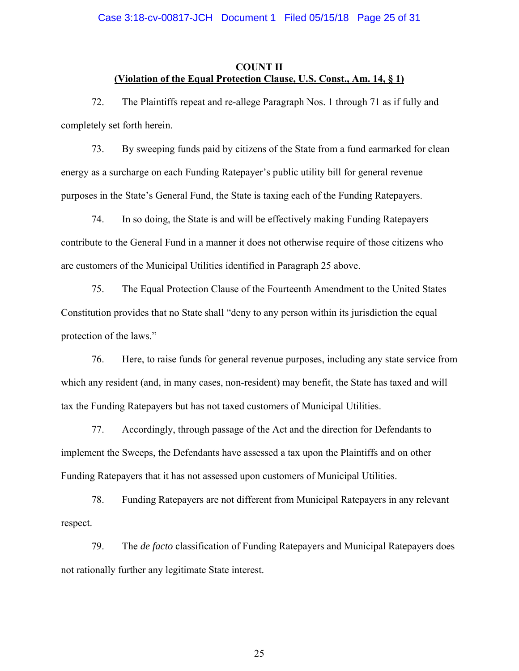### Case 3:18-cv-00817-JCH Document 1 Filed 05/15/18 Page 25 of 31

### **COUNT II (Violation of the Equal Protection Clause, U.S. Const., Am. 14, § 1)**

72. The Plaintiffs repeat and re-allege Paragraph Nos. 1 through 71 as if fully and completely set forth herein.

73. By sweeping funds paid by citizens of the State from a fund earmarked for clean energy as a surcharge on each Funding Ratepayer's public utility bill for general revenue purposes in the State's General Fund, the State is taxing each of the Funding Ratepayers.

74. In so doing, the State is and will be effectively making Funding Ratepayers contribute to the General Fund in a manner it does not otherwise require of those citizens who are customers of the Municipal Utilities identified in Paragraph 25 above.

75. The Equal Protection Clause of the Fourteenth Amendment to the United States Constitution provides that no State shall "deny to any person within its jurisdiction the equal protection of the laws."

76. Here, to raise funds for general revenue purposes, including any state service from which any resident (and, in many cases, non-resident) may benefit, the State has taxed and will tax the Funding Ratepayers but has not taxed customers of Municipal Utilities.

77. Accordingly, through passage of the Act and the direction for Defendants to implement the Sweeps, the Defendants have assessed a tax upon the Plaintiffs and on other Funding Ratepayers that it has not assessed upon customers of Municipal Utilities.

78. Funding Ratepayers are not different from Municipal Ratepayers in any relevant respect.

79. The *de facto* classification of Funding Ratepayers and Municipal Ratepayers does not rationally further any legitimate State interest.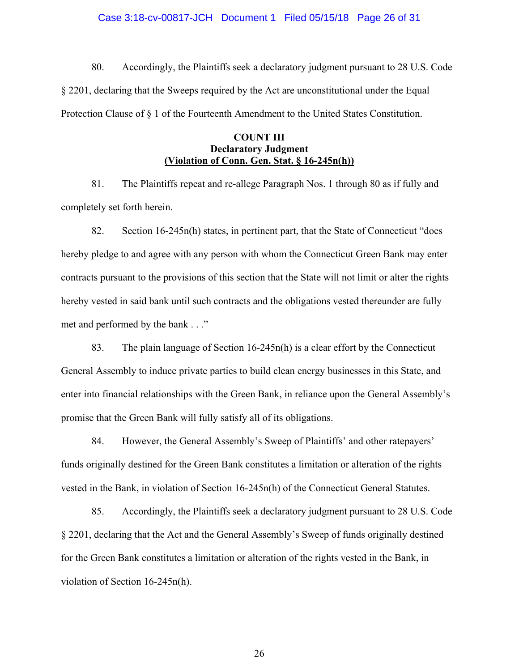### Case 3:18-cv-00817-JCH Document 1 Filed 05/15/18 Page 26 of 31

80. Accordingly, the Plaintiffs seek a declaratory judgment pursuant to 28 U.S. Code § 2201, declaring that the Sweeps required by the Act are unconstitutional under the Equal Protection Clause of § 1 of the Fourteenth Amendment to the United States Constitution.

### **COUNT III Declaratory Judgment (Violation of Conn. Gen. Stat. § 16-245n(h))**

81. The Plaintiffs repeat and re-allege Paragraph Nos. 1 through 80 as if fully and completely set forth herein.

82. Section 16-245n(h) states, in pertinent part, that the State of Connecticut "does hereby pledge to and agree with any person with whom the Connecticut Green Bank may enter contracts pursuant to the provisions of this section that the State will not limit or alter the rights hereby vested in said bank until such contracts and the obligations vested thereunder are fully met and performed by the bank . . ."

83. The plain language of Section 16-245n(h) is a clear effort by the Connecticut General Assembly to induce private parties to build clean energy businesses in this State, and enter into financial relationships with the Green Bank, in reliance upon the General Assembly's promise that the Green Bank will fully satisfy all of its obligations.

84. However, the General Assembly's Sweep of Plaintiffs' and other ratepayers' funds originally destined for the Green Bank constitutes a limitation or alteration of the rights vested in the Bank, in violation of Section 16-245n(h) of the Connecticut General Statutes.

85. Accordingly, the Plaintiffs seek a declaratory judgment pursuant to 28 U.S. Code § 2201, declaring that the Act and the General Assembly's Sweep of funds originally destined for the Green Bank constitutes a limitation or alteration of the rights vested in the Bank, in violation of Section 16-245n(h).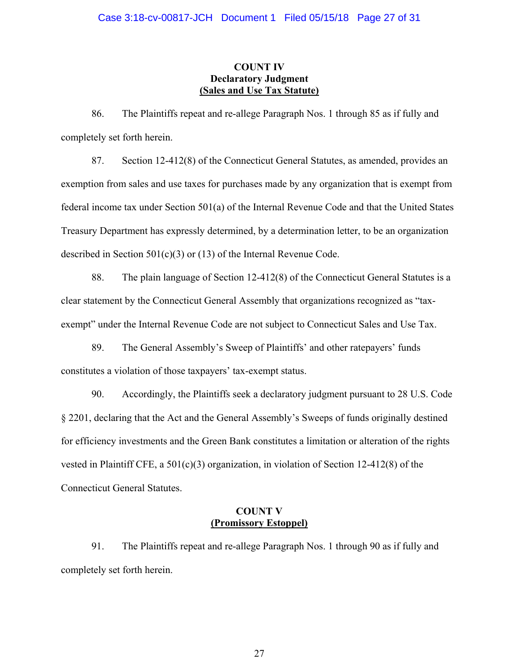## **COUNT IV Declaratory Judgment (Sales and Use Tax Statute)**

86. The Plaintiffs repeat and re-allege Paragraph Nos. 1 through 85 as if fully and completely set forth herein.

87. Section 12-412(8) of the Connecticut General Statutes, as amended, provides an exemption from sales and use taxes for purchases made by any organization that is exempt from federal income tax under Section 501(a) of the Internal Revenue Code and that the United States Treasury Department has expressly determined, by a determination letter, to be an organization described in Section 501(c)(3) or (13) of the Internal Revenue Code.

88. The plain language of Section 12-412(8) of the Connecticut General Statutes is a clear statement by the Connecticut General Assembly that organizations recognized as "taxexempt" under the Internal Revenue Code are not subject to Connecticut Sales and Use Tax.

89. The General Assembly's Sweep of Plaintiffs' and other ratepayers' funds constitutes a violation of those taxpayers' tax-exempt status.

90. Accordingly, the Plaintiffs seek a declaratory judgment pursuant to 28 U.S. Code § 2201, declaring that the Act and the General Assembly's Sweeps of funds originally destined for efficiency investments and the Green Bank constitutes a limitation or alteration of the rights vested in Plaintiff CFE, a 501(c)(3) organization, in violation of Section 12-412(8) of the Connecticut General Statutes.

## **COUNT V (Promissory Estoppel)**

91. The Plaintiffs repeat and re-allege Paragraph Nos. 1 through 90 as if fully and completely set forth herein.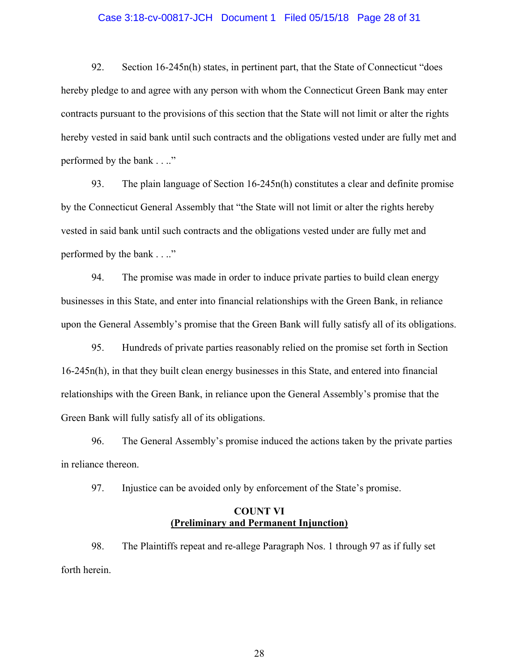### Case 3:18-cv-00817-JCH Document 1 Filed 05/15/18 Page 28 of 31

92. Section 16-245n(h) states, in pertinent part, that the State of Connecticut "does hereby pledge to and agree with any person with whom the Connecticut Green Bank may enter contracts pursuant to the provisions of this section that the State will not limit or alter the rights hereby vested in said bank until such contracts and the obligations vested under are fully met and performed by the bank . . .."

93. The plain language of Section 16-245n(h) constitutes a clear and definite promise by the Connecticut General Assembly that "the State will not limit or alter the rights hereby vested in said bank until such contracts and the obligations vested under are fully met and performed by the bank . . .."

94. The promise was made in order to induce private parties to build clean energy businesses in this State, and enter into financial relationships with the Green Bank, in reliance upon the General Assembly's promise that the Green Bank will fully satisfy all of its obligations.

95. Hundreds of private parties reasonably relied on the promise set forth in Section 16-245n(h), in that they built clean energy businesses in this State, and entered into financial relationships with the Green Bank, in reliance upon the General Assembly's promise that the Green Bank will fully satisfy all of its obligations.

96. The General Assembly's promise induced the actions taken by the private parties in reliance thereon.

97. Injustice can be avoided only by enforcement of the State's promise.

### **COUNT VI (Preliminary and Permanent Injunction)**

98. The Plaintiffs repeat and re-allege Paragraph Nos. 1 through 97 as if fully set forth herein.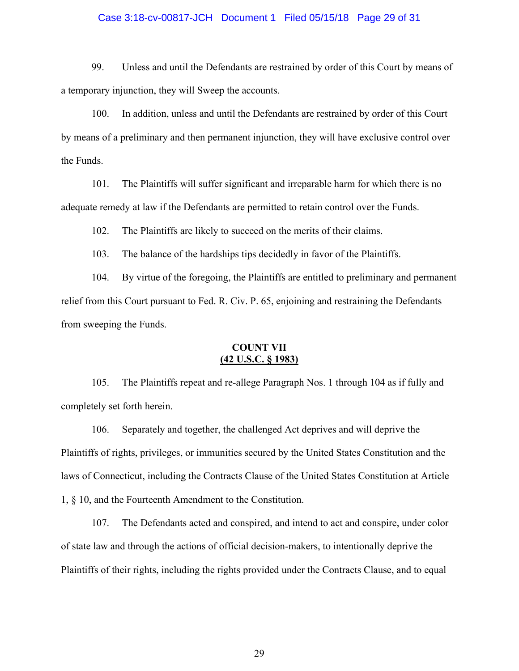## Case 3:18-cv-00817-JCH Document 1 Filed 05/15/18 Page 29 of 31

99. Unless and until the Defendants are restrained by order of this Court by means of a temporary injunction, they will Sweep the accounts.

100. In addition, unless and until the Defendants are restrained by order of this Court by means of a preliminary and then permanent injunction, they will have exclusive control over the Funds.

101. The Plaintiffs will suffer significant and irreparable harm for which there is no adequate remedy at law if the Defendants are permitted to retain control over the Funds.

102. The Plaintiffs are likely to succeed on the merits of their claims.

103. The balance of the hardships tips decidedly in favor of the Plaintiffs.

104. By virtue of the foregoing, the Plaintiffs are entitled to preliminary and permanent relief from this Court pursuant to Fed. R. Civ. P. 65, enjoining and restraining the Defendants from sweeping the Funds.

### **COUNT VII (42 U.S.C. § 1983)**

105. The Plaintiffs repeat and re-allege Paragraph Nos. 1 through 104 as if fully and completely set forth herein.

106. Separately and together, the challenged Act deprives and will deprive the Plaintiffs of rights, privileges, or immunities secured by the United States Constitution and the laws of Connecticut, including the Contracts Clause of the United States Constitution at Article 1, § 10, and the Fourteenth Amendment to the Constitution.

107. The Defendants acted and conspired, and intend to act and conspire, under color of state law and through the actions of official decision-makers, to intentionally deprive the Plaintiffs of their rights, including the rights provided under the Contracts Clause, and to equal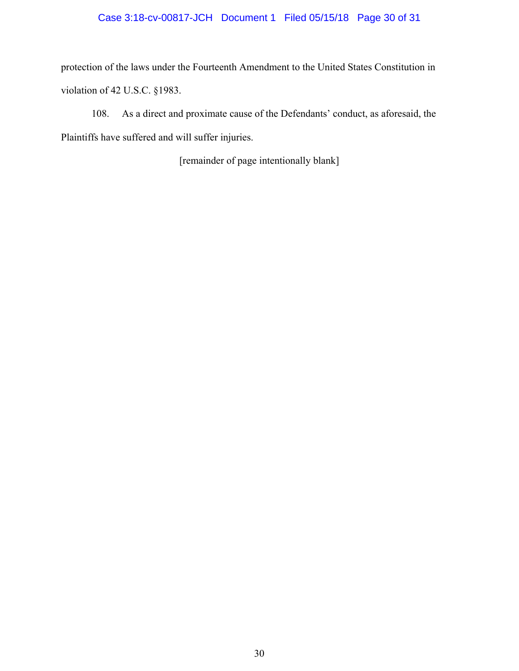# Case 3:18-cv-00817-JCH Document 1 Filed 05/15/18 Page 30 of 31

protection of the laws under the Fourteenth Amendment to the United States Constitution in violation of 42 U.S.C. §1983.

108. As a direct and proximate cause of the Defendants' conduct, as aforesaid, the Plaintiffs have suffered and will suffer injuries.

[remainder of page intentionally blank]